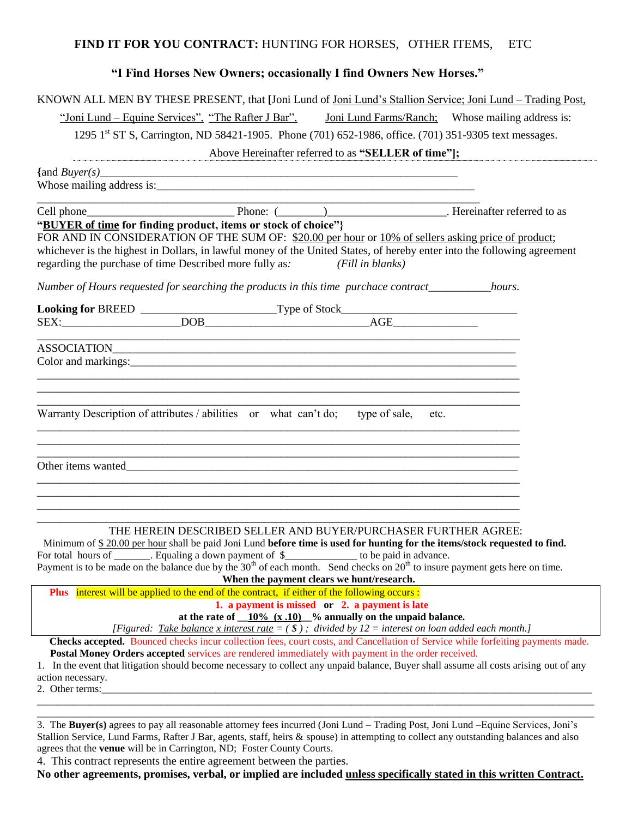## **FIND IT FOR YOU CONTRACT:** HUNTING FOR HORSES, OTHER ITEMS, ETC

## **"I Find Horses New Owners; occasionally I find Owners New Horses."**

| KNOWN ALL MEN BY THESE PRESENT, that [Joni Lund of Joni Lund's Stallion Service; Joni Lund – Trading Post,                                                                                                                                                                            |  |  |
|---------------------------------------------------------------------------------------------------------------------------------------------------------------------------------------------------------------------------------------------------------------------------------------|--|--|
| "Joni Lund – Equine Services", "The Rafter J Bar", Joni Lund Farms/Ranch; Whose mailing address is:                                                                                                                                                                                   |  |  |
| 1295 1 <sup>st</sup> ST S, Carrington, ND 58421-1905. Phone (701) 652-1986, office. (701) 351-9305 text messages.                                                                                                                                                                     |  |  |
| Above Hereinafter referred to as "SELLER of time"];                                                                                                                                                                                                                                   |  |  |
| $\{ \text{and } Buyer(s) \}$                                                                                                                                                                                                                                                          |  |  |
|                                                                                                                                                                                                                                                                                       |  |  |
|                                                                                                                                                                                                                                                                                       |  |  |
| "BUYER of time for finding product, items or stock of choice"}                                                                                                                                                                                                                        |  |  |
| FOR AND IN CONSIDERATION OF THE SUM OF: \$20.00 per hour or 10% of sellers asking price of product;                                                                                                                                                                                   |  |  |
| whichever is the highest in Dollars, in lawful money of the United States, of hereby enter into the following agreement                                                                                                                                                               |  |  |
| regarding the purchase of time Described more fully as: (Fill in blanks)                                                                                                                                                                                                              |  |  |
| Number of Hours requested for searching the products in this time purchace contract____________hours.                                                                                                                                                                                 |  |  |
|                                                                                                                                                                                                                                                                                       |  |  |
|                                                                                                                                                                                                                                                                                       |  |  |
|                                                                                                                                                                                                                                                                                       |  |  |
| ASSOCIATION                                                                                                                                                                                                                                                                           |  |  |
|                                                                                                                                                                                                                                                                                       |  |  |
|                                                                                                                                                                                                                                                                                       |  |  |
|                                                                                                                                                                                                                                                                                       |  |  |
| Warranty Description of attributes / abilities or what can't do; type of sale, etc.                                                                                                                                                                                                   |  |  |
|                                                                                                                                                                                                                                                                                       |  |  |
|                                                                                                                                                                                                                                                                                       |  |  |
|                                                                                                                                                                                                                                                                                       |  |  |
| Other items wanted<br><u>Leading</u>                                                                                                                                                                                                                                                  |  |  |
|                                                                                                                                                                                                                                                                                       |  |  |
|                                                                                                                                                                                                                                                                                       |  |  |
|                                                                                                                                                                                                                                                                                       |  |  |
| THE HEREIN DESCRIBED SELLER AND BUYER/PURCHASER FURTHER AGREE:                                                                                                                                                                                                                        |  |  |
| Minimum of \$20.00 per hour shall be paid Joni Lund before time is used for hunting for the items/stock requested to find.                                                                                                                                                            |  |  |
| For total hours of $\overline{\phantom{25\cdot}}$ . Equaling a down payment of $\overline{\phantom{25\cdot}}$ to be paid in advance.<br>Payment is to be made on the balance due by the 30 <sup>th</sup> of each month. Send checks on 20 <sup>th</sup> to insure payment gets here o |  |  |
|                                                                                                                                                                                                                                                                                       |  |  |
| When the payment clears we hunt/research.<br>Plus interest will be applied to the end of the contract, if either of the following occurs:                                                                                                                                             |  |  |
| 1. a payment is missed or 2. a payment is late                                                                                                                                                                                                                                        |  |  |
| at the rate of $\underline{\hspace{0.1cm}10\%}\hspace{0.1cm} (x.10)\hspace{0.1cm} }$ % annually on the unpaid balance.                                                                                                                                                                |  |  |
| [Figured: Take balance x interest rate = $($ \$ $)$ ; divided by 12 = interest on loan added each month.]                                                                                                                                                                             |  |  |
| <b>Checks accepted.</b> Bounced checks incur collection fees, court costs, and Cancellation of Service while forfeiting payments made.                                                                                                                                                |  |  |

**Postal Money Orders accepted** services are rendered immediately with payment in the order received.

1. In the event that litigation should become necessary to collect any unpaid balance, Buyer shall assume all costs arising out of any action necessary.

\_\_\_\_\_\_\_\_\_\_\_\_\_\_\_\_\_\_\_\_\_\_\_\_\_\_\_\_\_\_\_\_\_\_\_\_\_\_\_\_\_\_\_\_\_\_\_\_\_\_\_\_\_\_\_\_\_\_\_\_\_\_\_\_\_\_\_\_\_\_\_\_\_\_\_\_\_\_\_\_\_\_\_\_\_\_\_\_\_\_\_\_\_\_\_\_\_\_\_\_\_\_\_\_\_\_\_\_ \_\_\_\_\_\_\_\_\_\_\_\_\_\_\_\_\_\_\_\_\_\_\_\_\_\_\_\_\_\_\_\_\_\_\_\_\_\_\_\_\_\_\_\_\_\_\_\_\_\_\_\_\_\_\_\_\_\_\_\_\_\_\_\_\_\_\_\_\_\_\_\_\_\_\_\_\_\_\_\_\_\_\_\_\_\_\_\_\_\_\_\_\_\_\_\_\_\_\_\_\_\_\_\_\_\_\_\_

2. Other terms:

3. The **Buyer(s)** agrees to pay all reasonable attorney fees incurred (Joni Lund – Trading Post, Joni Lund –Equine Services, Joni's Stallion Service, Lund Farms, Rafter J Bar, agents, staff, heirs & spouse) in attempting to collect any outstanding balances and also agrees that the **venue** will be in Carrington, ND; Foster County Courts.

4.This contract represents the entire agreement between the parties.

**No other agreements, promises, verbal, or implied are included unless specifically stated in this written Contract.**